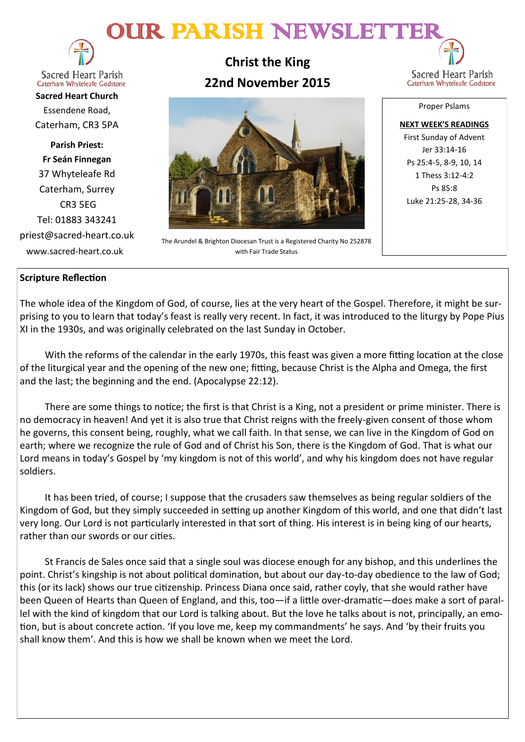# OUR PARISH NEWSLETTE



**Sacred Heart Parish** Caterham Whyteleafe Godstone

**Sacred Heart Church** Essendene Road, Caterham, CR3 5PA

**Parish Priest: Fr Seán Finnegan** 37 Whyteleafe Rd Caterham, Surrey CR3 5EG Tel: 01883 343241 priest@sacred-heart.co.uk www.sacred-heart.co.uk

**Christ the King 22nd November 2015**



The Arundel & Brighton Diocesan Trust is a Registered Charity No 252878 with Fair Trade Status

Sacred Heart Parish Caterham Whyteleafe Godstone

Proper Pslams

**NEXT WEEK'S READINGS** First Sunday of Advent Jer 33:14-16 Ps 25:4-5, 8-9, 10, 14 1 Thess 3:12-4:2 Ps 85:8 Luke 21:25-28, 34-36

# **Scripture Reflection**

The whole idea of the Kingdom of God, of course, lies at the very heart of the Gospel. Therefore, it might be surprising to you to learn that today's feast is really very recent. In fact, it was introduced to the liturgy by Pope Pius XI in the 1930s, and was originally celebrated on the last Sunday in October.

With the reforms of the calendar in the early 1970s, this feast was given a more fitting location at the close of the liturgical year and the opening of the new one; fitting, because Christ is the Alpha and Omega, the first and the last; the beginning and the end. (Apocalypse 22:12).

There are some things to notice; the first is that Christ is a King, not a president or prime minister. There is no democracy in heaven! And yet it is also true that Christ reigns with the freely-given consent of those whom he governs, this consent being, roughly, what we call faith. In that sense, we can live in the Kingdom of God on earth; where we recognize the rule of God and of Christ his Son, there is the Kingdom of God. That is what our Lord means in today's Gospel by 'my kingdom is not of this world', and why his kingdom does not have regular soldiers.

It has been tried, of course; I suppose that the crusaders saw themselves as being regular soldiers of the Kingdom of God, but they simply succeeded in setting up another Kingdom of this world, and one that didn't last very long. Our Lord is not particularly interested in that sort of thing. His interest is in being king of our hearts, rather than our swords or our cities.

St Francis de Sales once said that a single soul was diocese enough for any bishop, and this underlines the point. Christ's kingship is not about political domination, but about our day-to-day obedience to the law of God; this (or its lack) shows our true citizenship. Princess Diana once said, rather coyly, that she would rather have been Queen of Hearts than Queen of England, and this, too—if a little over-dramatic—does make a sort of parallel with the kind of kingdom that our Lord is talking about. But the love he talks about is not, principally, an emotion, but is about concrete action. 'If you love me, keep my commandments' he says. And 'by their fruits you shall know them'. And this is how we shall be known when we meet the Lord.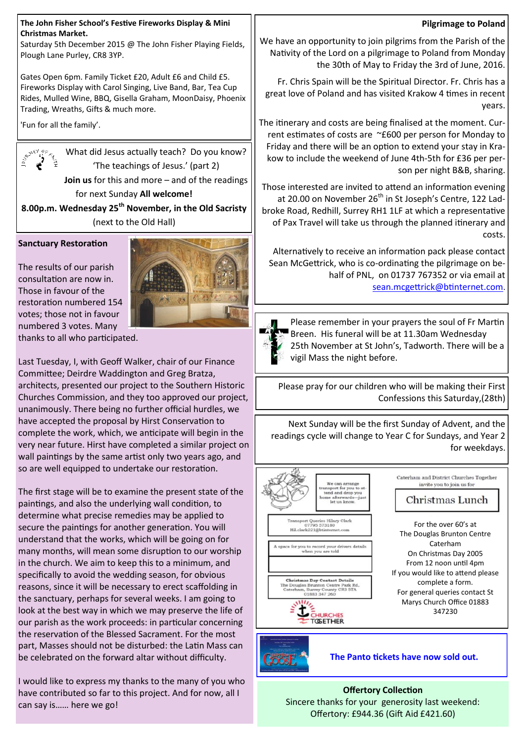#### **The John Fisher School's Festive Fireworks Display & Mini Christmas Market.**

Saturday 5th December 2015 @ The John Fisher Playing Fields, Plough Lane Purley, CR8 3YP.

Gates Open 6pm. Family Ticket £20, Adult £6 and Child £5. Fireworks Display with Carol Singing, Live Band, Bar, Tea Cup Rides, Mulled Wine, BBQ, Gisella Graham, MoonDaisy, Phoenix Trading, Wreaths, Gifts & much more.

'Fun for all the family'.



What did Jesus actually teach? Do you know? 'The teachings of Jesus.' (part 2) **Join us** for this and more – and of the readings for next Sunday **All welcome!** 

**8.00p.m. Wednesday 25th November, in the Old Sacristy**  (next to the Old Hall)

# **Sanctuary Restoration**

The results of our parish consultation are now in. Those in favour of the restoration numbered 154 votes; those not in favour numbered 3 votes. Many



thanks to all who participated.

Last Tuesday, I, with Geoff Walker, chair of our Finance Committee; Deirdre Waddington and Greg Bratza, architects, presented our project to the Southern Historic Churches Commission, and they too approved our project, unanimously. There being no further official hurdles, we have accepted the proposal by Hirst Conservation to complete the work, which, we anticipate will begin in the very near future. Hirst have completed a similar project on wall paintings by the same artist only two years ago, and so are well equipped to undertake our restoration.

The first stage will be to examine the present state of the paintings, and also the underlying wall condition, to determine what precise remedies may be applied to secure the paintings for another generation. You will understand that the works, which will be going on for many months, will mean some disruption to our worship in the church. We aim to keep this to a minimum, and specifically to avoid the wedding season, for obvious reasons, since it will be necessary to erect scaffolding in the sanctuary, perhaps for several weeks. I am going to look at the best way in which we may preserve the life of our parish as the work proceeds: in particular concerning the reservation of the Blessed Sacrament. For the most part, Masses should not be disturbed: the Latin Mass can be celebrated on the forward altar without difficulty.

I would like to express my thanks to the many of you who have contributed so far to this project. And for now, all I can say is…… here we go!

## **Pilgrimage to Poland**

We have an opportunity to join pilgrims from the Parish of the Nativity of the Lord on a pilgrimage to Poland from Monday the 30th of May to Friday the 3rd of June, 2016.

Fr. Chris Spain will be the Spiritual Director. Fr. Chris has a great love of Poland and has visited Krakow 4 times in recent years.

The itinerary and costs are being finalised at the moment. Current estimates of costs are ~£600 per person for Monday to Friday and there will be an option to extend your stay in Krakow to include the weekend of June 4th-5th for £36 per person per night B&B, sharing.

Those interested are invited to attend an information evening at 20.00 on November 26<sup>th</sup> in St Joseph's Centre, 122 Ladbroke Road, Redhill, Surrey RH1 1LF at which a representative of Pax Travel will take us through the planned itinerary and costs.

Alternatively to receive an information pack please contact Sean McGettrick, who is co-ordinating the pilgrimage on behalf of PNL, on 01737 767352 or via email at [sean.mcgettrick@btinternet.com](mailto:sean.mcgettrick@btinternet.com).



Please remember in your prayers the soul of Fr Martin Breen. His funeral will be at 11.30am Wednesday 25th November at St John's, Tadworth. There will be a vigil Mass the night before.

Please pray for our children who will be making their First Confessions this Saturday,(28th)

Next Sunday will be the first Sunday of Advent, and the readings cycle will change to Year C for Sundays, and Year 2 for weekdays.





 **The Panto tickets have now sold out.**

**Offertory Collection** Sincere thanks for your generosity last weekend: Offertory: £944.36 (Gift Aid £421.60)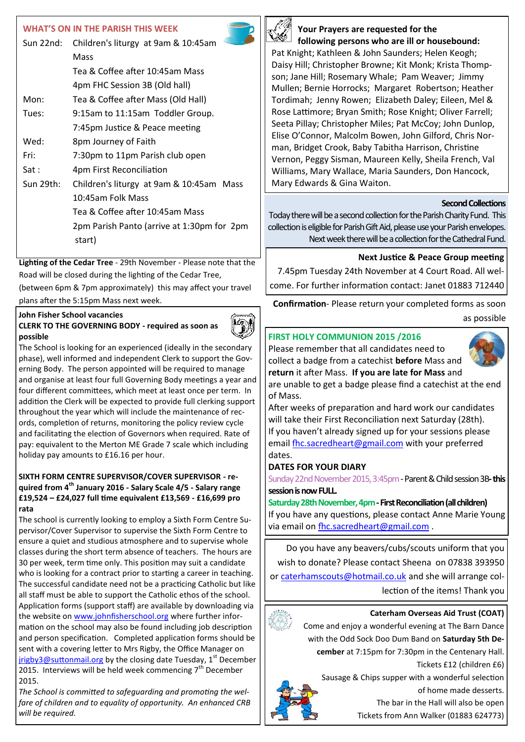# **WHAT'S ON IN THE PARISH THIS WEEK**

| Sun 22nd: | Children's liturgy at 9am & 10:45am        |
|-----------|--------------------------------------------|
|           | Mass                                       |
|           | Tea & Coffee after 10:45am Mass            |
|           | 4pm FHC Session 3B (Old hall)              |
| Mon:      | Tea & Coffee after Mass (Old Hall)         |
| Tues:     | 9:15am to 11:15am Toddler Group.           |
|           | 7:45pm Justice & Peace meeting             |
| Wed:      | 8pm Journey of Faith                       |
| Fri:      | 7:30pm to 11pm Parish club open            |
| Sat :     | 4pm First Reconciliation                   |
| Sun 29th: | Children's liturgy at 9am & 10:45am Mass   |
|           | 10:45am Folk Mass                          |
|           | Tea & Coffee after 10:45am Mass            |
|           | 2pm Parish Panto (arrive at 1:30pm for 2pm |
|           | start)                                     |
|           |                                            |

**Lighting of the Cedar Tree** - 29th November - Please note that the Road will be closed during the lighting of the Cedar Tree, (between 6pm & 7pm approximately) this may affect your travel

plans after the 5:15pm Mass next week.

## **John Fisher School vacancies**

## **CLERK TO THE GOVERNING BODY - required as soon as possible**



The School is looking for an experienced (ideally in the secondary phase), well informed and independent Clerk to support the Governing Body. The person appointed will be required to manage and organise at least four full Governing Body meetings a year and four different committees, which meet at least once per term. In addition the Clerk will be expected to provide full clerking support throughout the year which will include the maintenance of records, completion of returns, monitoring the policy review cycle and facilitating the election of Governors when required. Rate of pay: equivalent to the Merton ME Grade 7 scale which including holiday pay amounts to £16.16 per hour.

#### **SIXTH FORM CENTRE SUPERVISOR/COVER SUPERVISOR - required from 4th January 2016 - Salary Scale 4/5 - Salary range £19,524 – £24,027 full time equivalent £13,569 - £16,699 pro rata**

The school is currently looking to employ a Sixth Form Centre Supervisor/Cover Supervisor to supervise the Sixth Form Centre to ensure a quiet and studious atmosphere and to supervise whole classes during the short term absence of teachers. The hours are 30 per week, term time only. This position may suit a candidate who is looking for a contract prior to starting a career in teaching. The successful candidate need not be a practicing Catholic but like all staff must be able to support the Catholic ethos of the school. Application forms (support staff) are available by downloading via the website on [www.johnfisherschool.org](http://www.johnfisherschool.org) where further information on the school may also be found including job description and person specification. Completed application forms should be sent with a covering letter to Mrs Rigby, the Office Manager on [jrigby3@suttonmail.org](mailto:jrigby3@suttonmail.org) by the closing date Tuesday,  $1<sup>st</sup>$  December 2015. Interviews will be held week commencing  $7<sup>th</sup>$  December 2015.

*The School is committed to safeguarding and promoting the welfare of children and to equality of opportunity. An enhanced CRB will be required.*



# **Your Prayers are requested for the following persons who are ill or housebound:**

Pat Knight; Kathleen & John Saunders; Helen Keogh; Daisy Hill; Christopher Browne; Kit Monk; Krista Thompson; Jane Hill; Rosemary Whale; Pam Weaver; Jimmy Mullen; Bernie Horrocks; Margaret Robertson; Heather Tordimah; Jenny Rowen; Elizabeth Daley; Eileen, Mel & Rose Lattimore; Bryan Smith; Rose Knight; Oliver Farrell; Seeta Pillay; Christopher Miles; Pat McCoy; John Dunlop, Elise O'Connor, Malcolm Bowen, John Gilford, Chris Norman, Bridget Crook, Baby Tabitha Harrison, Christine Vernon, Peggy Sisman, Maureen Kelly, Sheila French, Val Williams, Mary Wallace, Maria Saunders, Don Hancock, Mary Edwards & Gina Waiton.

## **Second Collections**

Today there will be a second collection for the Parish Charity Fund. This collection is eligible for Parish Gift Aid, please use your Parish envelopes. Next week there will be a collection for the Cathedral Fund.

# **Next Justice & Peace Group meeting**

7.45pm Tuesday 24th November at 4 Court Road. All welcome. For further information contact: Janet 01883 712440

**Confirmation**- Please return your completed forms as soon as possible

# **FIRST HOLY COMMUNION 2015 /2016**

Please remember that all candidates need to collect a badge from a catechist **before** Mass and **return** it after Mass. **If you are late for Mass** and



are unable to get a badge please find a catechist at the end of Mass.

After weeks of preparation and hard work our candidates will take their First Reconciliation next Saturday (28th). If you haven't already signed up for your sessions please email [fhc.sacredheart@gmail.com](mailto:fhc.sacredheart@gmail.com) with your preferred dates.

## **DATES FOR YOUR DIARY**

Sunday 22nd November 2015, 3:45pm -Parent & Child session 3B**-this session is now FULL.**

**Saturday 28th November, 4pm -First Reconciliation (all children)** If you have any questions, please contact Anne Marie Young via email on [fhc.sacredheart@gmail.com](mailto:fhc.sacredheart@gmail.com) .

Do you have any beavers/cubs/scouts uniform that you wish to donate? Please contact Sheena on 07838 393950 or [caterhamscouts@hotmail.co.uk](mailto:caterhamscouts@hotmail.co.uk) and she will arrange collection of the items! Thank you

## **Caterham Overseas Aid Trust (COAT)**

Come and enjoy a wonderful evening at The Barn Dance with the Odd Sock Doo Dum Band on **Saturday 5th December** at 7:15pm for 7:30pm in the Centenary Hall.

Tickets £12 (children £6)

Sausage & Chips supper with a wonderful selection



of home made desserts. The bar in the Hall will also be open

Tickets from Ann Walker (01883 624773)